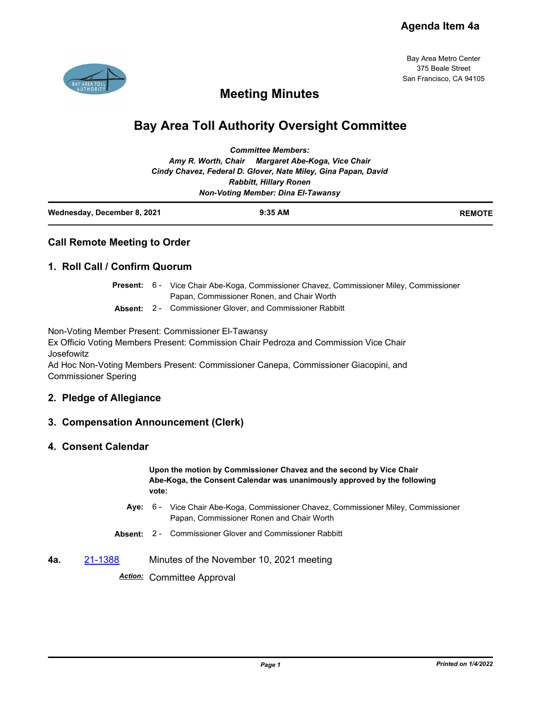

Bay Area Metro Center 375 Beale Street San Francisco, CA 94105

## **Meeting Minutes**

# **Bay Area Toll Authority Oversight Committee**

| <b>Committee Members:</b>     |                                                                |  |  |  |
|-------------------------------|----------------------------------------------------------------|--|--|--|
|                               | Amy R. Worth, Chair Margaret Abe-Koga, Vice Chair              |  |  |  |
|                               | Cindy Chavez, Federal D. Glover, Nate Miley, Gina Papan, David |  |  |  |
| <b>Rabbitt, Hillary Ronen</b> |                                                                |  |  |  |
|                               | <b>Non-Voting Member: Dina El-Tawansy</b>                      |  |  |  |

| Wednesday, December 8, 2021 | $9:35$ AM | <b>REMOTE</b> |
|-----------------------------|-----------|---------------|
|                             |           |               |

## **Call Remote Meeting to Order**

## **1. Roll Call / Confirm Quorum**

|  | <b>Present:</b> 6 - Vice Chair Abe-Koga, Commissioner Chavez, Commissioner Miley, Commissioner |
|--|------------------------------------------------------------------------------------------------|
|  | Papan, Commissioner Ronen, and Chair Worth                                                     |

**Absent:** 2 - Commissioner Glover, and Commissioner Rabbitt

Non-Voting Member Present: Commissioner El-Tawansy

Ex Officio Voting Members Present: Commission Chair Pedroza and Commission Vice Chair Josefowitz

Ad Hoc Non-Voting Members Present: Commissioner Canepa, Commissioner Giacopini, and Commissioner Spering

## **2. Pledge of Allegiance**

## **3. Compensation Announcement (Clerk)**

#### **4. Consent Calendar**

**Upon the motion by Commissioner Chavez and the second by Vice Chair Abe-Koga, the Consent Calendar was unanimously approved by the following vote:**

- Aye: 6 Vice Chair Abe-Koga, Commissioner Chavez, Commissioner Miley, Commissioner Papan, Commissioner Ronen and Chair Worth
- **Absent:** 2 Commissioner Glover and Commissioner Rabbitt
- **4a.** [21-1388](http://mtc.legistar.com/gateway.aspx?m=l&id=/matter.aspx?key=22981) Minutes of the November 10, 2021 meeting

*Action:* Committee Approval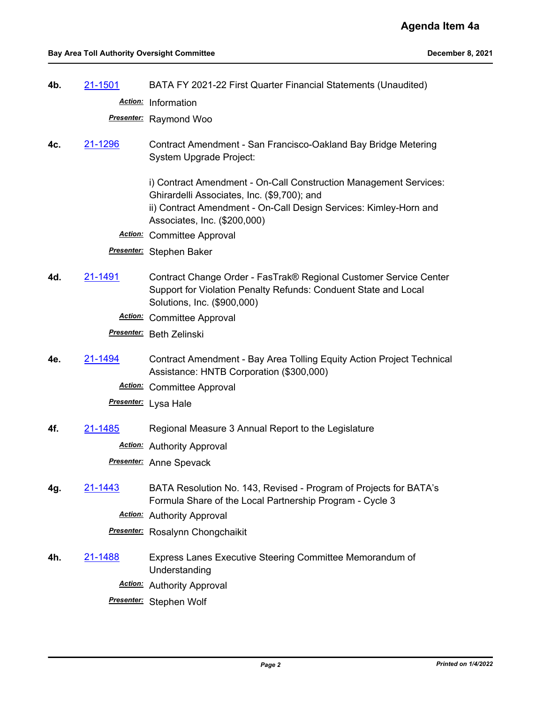**4b.** [21-1501](http://mtc.legistar.com/gateway.aspx?m=l&id=/matter.aspx?key=23094) BATA FY 2021-22 First Quarter Financial Statements (Unaudited)

*Action:* Information

*Presenter:* Raymond Woo

**4c.** [21-1296](http://mtc.legistar.com/gateway.aspx?m=l&id=/matter.aspx?key=22888) Contract Amendment - San Francisco-Oakland Bay Bridge Metering System Upgrade Project:

> i) Contract Amendment - On-Call Construction Management Services: Ghirardelli Associates, Inc. (\$9,700); and ii) Contract Amendment - On-Call Design Services: Kimley-Horn and Associates, Inc. (\$200,000)

*Action:* Committee Approval

*Presenter:* Stephen Baker

- **4d.** [21-1491](http://mtc.legistar.com/gateway.aspx?m=l&id=/matter.aspx?key=23084) Contract Change Order FasTrak® Regional Customer Service Center Support for Violation Penalty Refunds: Conduent State and Local Solutions, Inc. (\$900,000)
	- *Action:* Committee Approval

*Presenter:* Beth Zelinski

**4e.** [21-1494](http://mtc.legistar.com/gateway.aspx?m=l&id=/matter.aspx?key=23087) Contract Amendment - Bay Area Tolling Equity Action Project Technical Assistance: HNTB Corporation (\$300,000)

*Action:* Committee Approval

*Presenter:* Lysa Hale

**4f.** [21-1485](http://mtc.legistar.com/gateway.aspx?m=l&id=/matter.aspx?key=23078) Regional Measure 3 Annual Report to the Legislature

*Action:* Authority Approval

*Presenter:* Anne Spevack

- **4g.** [21-1443](http://mtc.legistar.com/gateway.aspx?m=l&id=/matter.aspx?key=23036) BATA Resolution No. 143, Revised Program of Projects for BATA's Formula Share of the Local Partnership Program - Cycle 3
	- *Action:* Authority Approval

*Presenter:* Rosalynn Chongchaikit

- **4h.** [21-1488](http://mtc.legistar.com/gateway.aspx?m=l&id=/matter.aspx?key=23081) Express Lanes Executive Steering Committee Memorandum of Understanding
	- *Action:* Authority Approval
	- *Presenter:* Stephen Wolf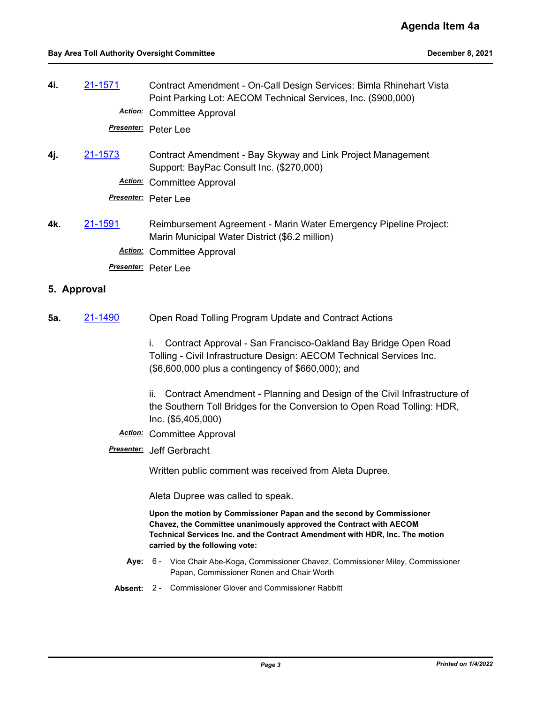| 4i. | 21-1571 | Contract Amendment - On-Call Design Services: Bimla Rhinehart Vista<br>Point Parking Lot: AECOM Technical Services, Inc. (\$900,000) |
|-----|---------|--------------------------------------------------------------------------------------------------------------------------------------|
|     |         | <b>Action:</b> Committee Approval                                                                                                    |
|     |         | Presenter: Peter Lee                                                                                                                 |
| 4j. | 21-1573 | Contract Amendment - Bay Skyway and Link Project Management<br>Support: BayPac Consult Inc. (\$270,000)                              |
|     |         | <b>Action:</b> Committee Approval                                                                                                    |
|     |         | Presenter: Peter Lee                                                                                                                 |
| 4k. | 21-1591 | Reimbursement Agreement - Marin Water Emergency Pipeline Project:<br>Marin Municipal Water District (\$6.2 million)                  |
|     |         | <b>Action:</b> Committee Approval                                                                                                    |
|     |         | Presenter: Peter Lee                                                                                                                 |

## **5. Approval**

**5a.** [21-1490](http://mtc.legistar.com/gateway.aspx?m=l&id=/matter.aspx?key=23083) Open Road Tolling Program Update and Contract Actions

i. Contract Approval - San Francisco-Oakland Bay Bridge Open Road Tolling - Civil Infrastructure Design: AECOM Technical Services Inc. (\$6,600,000 plus a contingency of \$660,000); and

ii. Contract Amendment - Planning and Design of the Civil Infrastructure of the Southern Toll Bridges for the Conversion to Open Road Tolling: HDR, Inc. (\$5,405,000)

### *Action:* Committee Approval

*Presenter:* Jeff Gerbracht

Written public comment was received from Aleta Dupree.

Aleta Dupree was called to speak.

**Upon the motion by Commissioner Papan and the second by Commissioner Chavez, the Committee unanimously approved the Contract with AECOM Technical Services Inc. and the Contract Amendment with HDR, Inc. The motion carried by the following vote:**

- **Aye:** Vice Chair Abe-Koga, Commissioner Chavez, Commissioner Miley, Commissioner Papan, Commissioner Ronen and Chair Worth Aye: 6 -
- **Absent:** 2 Commissioner Glover and Commissioner Rabbitt